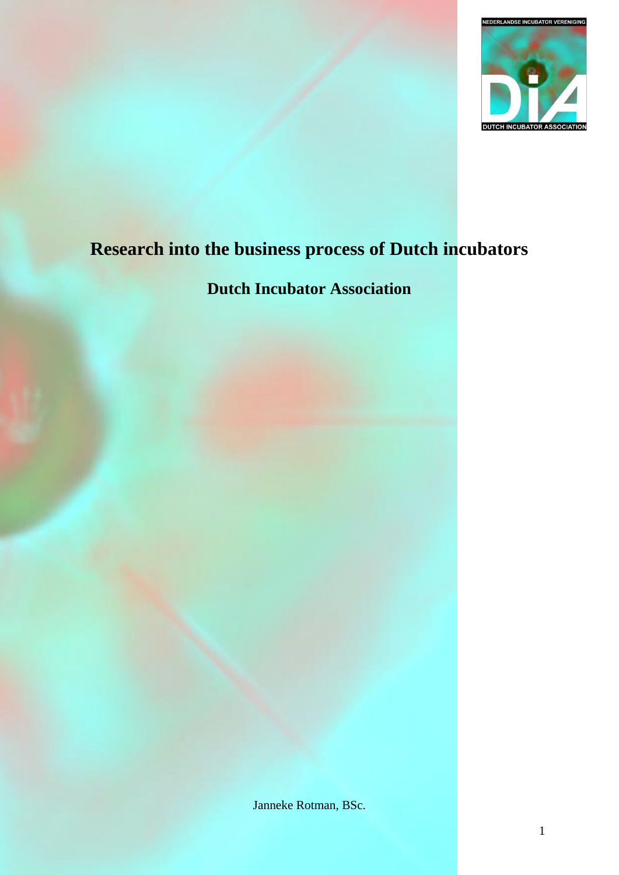

# **Research into the business process of Dutch incubators**

## **Dutch Incubator Association**

Janneke Rotman, BSc.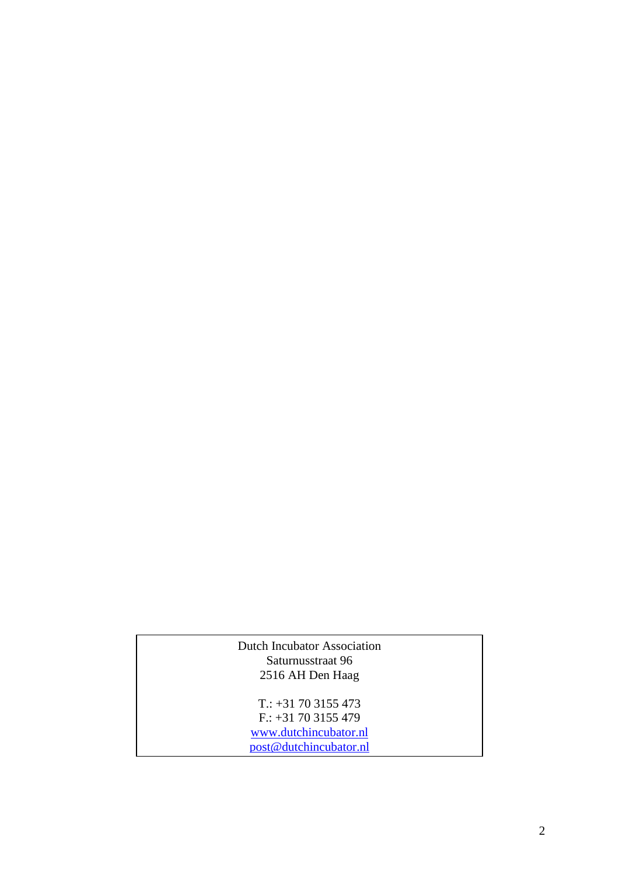#### Dutch Incubator Association Saturnusstraat 96 2516 AH Den Haag

T.: +31 70 3155 473 F.: +31 70 3155 479 [www.dutchincubator.nl](http://www.dutchincubator.nl/) [post@dutchincubator.nl](mailto:post@dutchincubator.nl)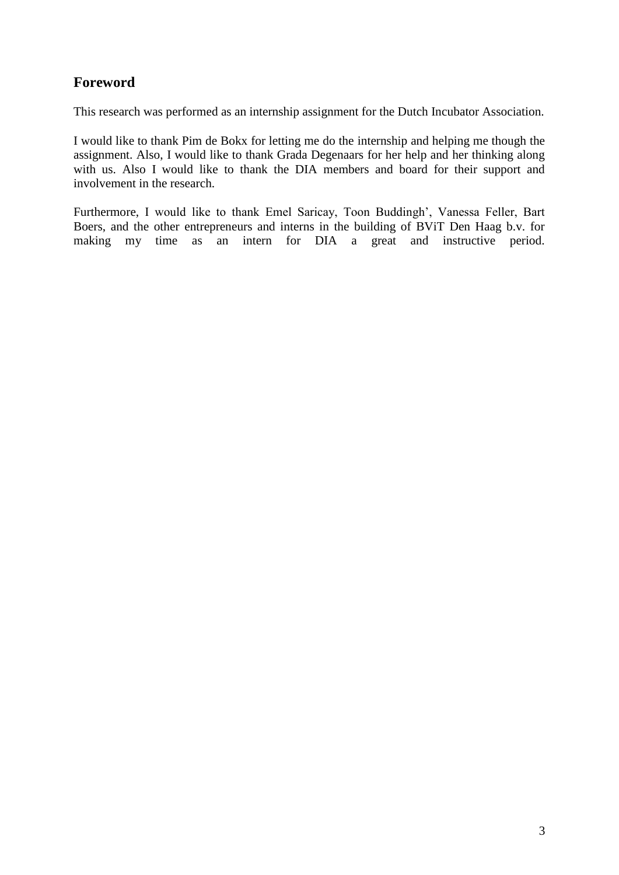## **Foreword**

This research was performed as an internship assignment for the Dutch Incubator Association.

I would like to thank Pim de Bokx for letting me do the internship and helping me though the assignment. Also, I would like to thank Grada Degenaars for her help and her thinking along with us. Also I would like to thank the DIA members and board for their support and involvement in the research.

Furthermore, I would like to thank Emel Saricay, Toon Buddingh', Vanessa Feller, Bart Boers, and the other entrepreneurs and interns in the building of BViT Den Haag b.v. for making my time as an intern for DIA a great and instructive period.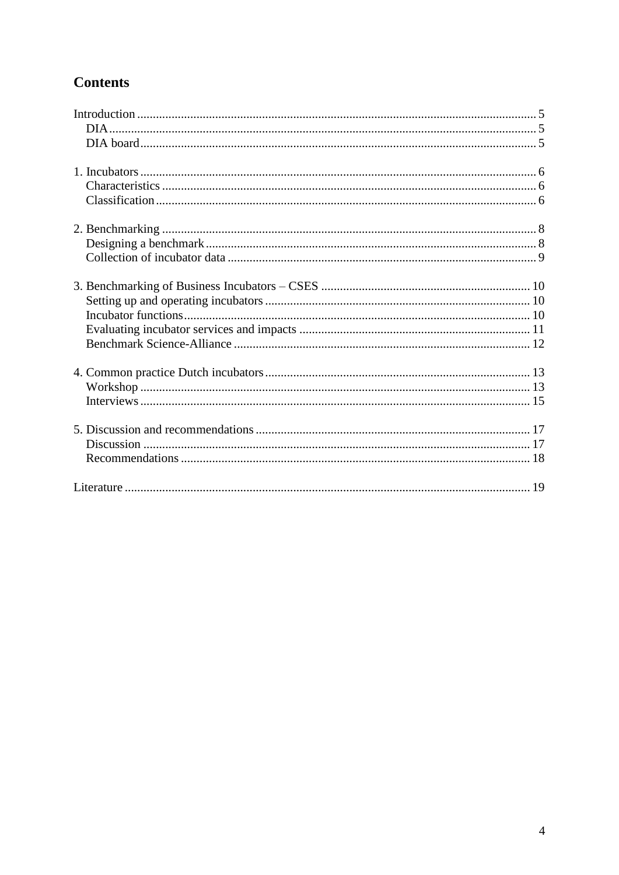## **Contents**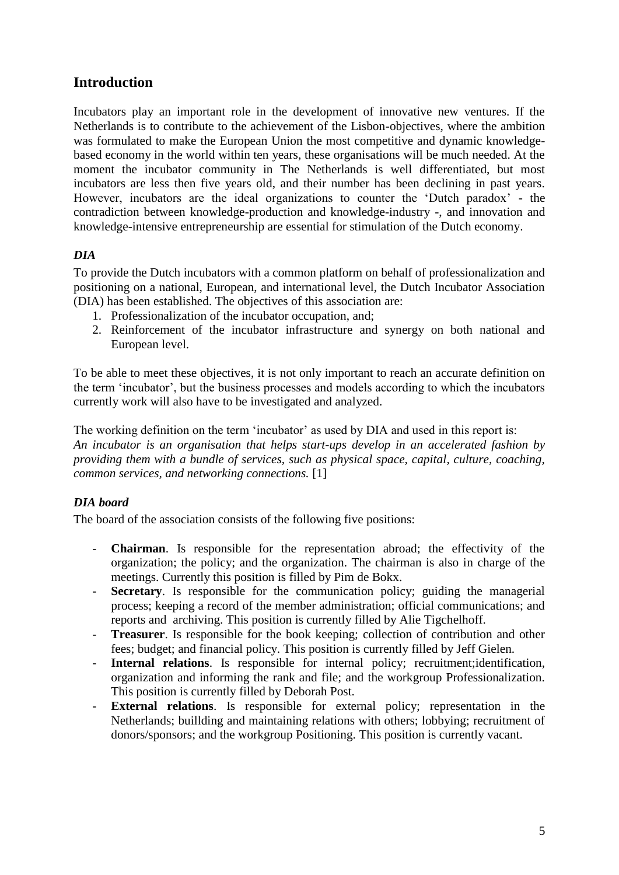## <span id="page-4-0"></span>**Introduction**

Incubators play an important role in the development of innovative new ventures. If the Netherlands is to contribute to the achievement of the Lisbon-objectives, where the ambition was formulated to make the European Union the most competitive and dynamic knowledgebased economy in the world within ten years, these organisations will be much needed. At the moment the incubator community in The Netherlands is well differentiated, but most incubators are less then five years old, and their number has been declining in past years. However, incubators are the ideal organizations to counter the 'Dutch paradox' - the contradiction between knowledge-production and knowledge-industry -, and innovation and knowledge-intensive entrepreneurship are essential for stimulation of the Dutch economy.

#### <span id="page-4-1"></span>*DIA*

To provide the Dutch incubators with a common platform on behalf of professionalization and positioning on a national, European, and international level, the Dutch Incubator Association (DIA) has been established. The objectives of this association are:

- 1. Professionalization of the incubator occupation, and;
- 2. Reinforcement of the incubator infrastructure and synergy on both national and European level.

To be able to meet these objectives, it is not only important to reach an accurate definition on the term 'incubator', but the business processes and models according to which the incubators currently work will also have to be investigated and analyzed.

The working definition on the term 'incubator' as used by DIA and used in this report is: *An incubator is an organisation that helps start-ups develop in an accelerated fashion by providing them with a bundle of services, such as physical space, capital, culture, coaching, common services, and networking connections.* [1]

### <span id="page-4-2"></span>*DIA board*

The board of the association consists of the following five positions:

- **Chairman**. Is responsible for the representation abroad; the effectivity of the organization; the policy; and the organization. The chairman is also in charge of the meetings. Currently this position is filled by Pim de Bokx.
- **Secretary**. Is responsible for the communication policy; guiding the managerial process; keeping a record of the member administration; official communications; and reports and archiving. This position is currently filled by Alie Tigchelhoff.
- **Treasurer**. Is responsible for the book keeping; collection of contribution and other fees; budget; and financial policy. This position is currently filled by Jeff Gielen.
- **Internal relations**. Is responsible for internal policy; recruitment;identification, organization and informing the rank and file; and the workgroup Professionalization. This position is currently filled by Deborah Post.
- **External relations**. Is responsible for external policy; representation in the Netherlands; buillding and maintaining relations with others; lobbying; recruitment of donors/sponsors; and the workgroup Positioning. This position is currently vacant.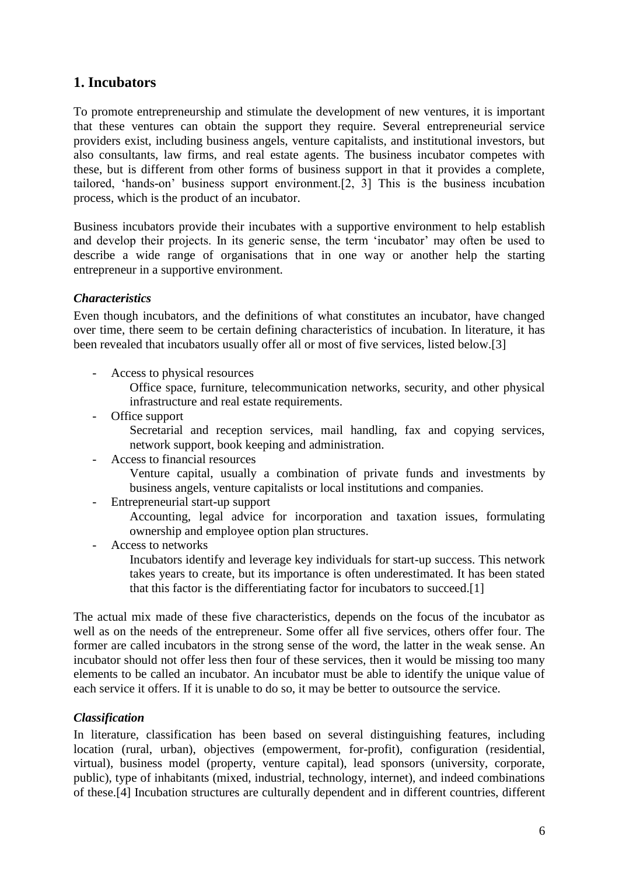## <span id="page-5-0"></span>**1. Incubators**

To promote entrepreneurship and stimulate the development of new ventures, it is important that these ventures can obtain the support they require. Several entrepreneurial service providers exist, including business angels, venture capitalists, and institutional investors, but also consultants, law firms, and real estate agents. The business incubator competes with these, but is different from other forms of business support in that it provides a complete, tailored, 'hands-on' business support environment.[2, 3] This is the business incubation process, which is the product of an incubator.

Business incubators provide their incubates with a supportive environment to help establish and develop their projects. In its generic sense, the term 'incubator' may often be used to describe a wide range of organisations that in one way or another help the starting entrepreneur in a supportive environment.

#### <span id="page-5-1"></span>*Characteristics*

Even though incubators, and the definitions of what constitutes an incubator, have changed over time, there seem to be certain defining characteristics of incubation. In literature, it has been revealed that incubators usually offer all or most of five services, listed below.[3]

- Access to physical resources

Office space, furniture, telecommunication networks, security, and other physical infrastructure and real estate requirements.

- Office support

Secretarial and reception services, mail handling, fax and copying services, network support, book keeping and administration.

- Access to financial resources

Venture capital, usually a combination of private funds and investments by business angels, venture capitalists or local institutions and companies.

- Entrepreneurial start-up support

Accounting, legal advice for incorporation and taxation issues, formulating ownership and employee option plan structures.

Access to networks

Incubators identify and leverage key individuals for start-up success. This network takes years to create, but its importance is often underestimated. It has been stated that this factor is the differentiating factor for incubators to succeed.[1]

The actual mix made of these five characteristics, depends on the focus of the incubator as well as on the needs of the entrepreneur. Some offer all five services, others offer four. The former are called incubators in the strong sense of the word, the latter in the weak sense. An incubator should not offer less then four of these services, then it would be missing too many elements to be called an incubator. An incubator must be able to identify the unique value of each service it offers. If it is unable to do so, it may be better to outsource the service.

#### <span id="page-5-2"></span>*Classification*

In literature, classification has been based on several distinguishing features, including location (rural, urban), objectives (empowerment, for-profit), configuration (residential, virtual), business model (property, venture capital), lead sponsors (university, corporate, public), type of inhabitants (mixed, industrial, technology, internet), and indeed combinations of these.[4] Incubation structures are culturally dependent and in different countries, different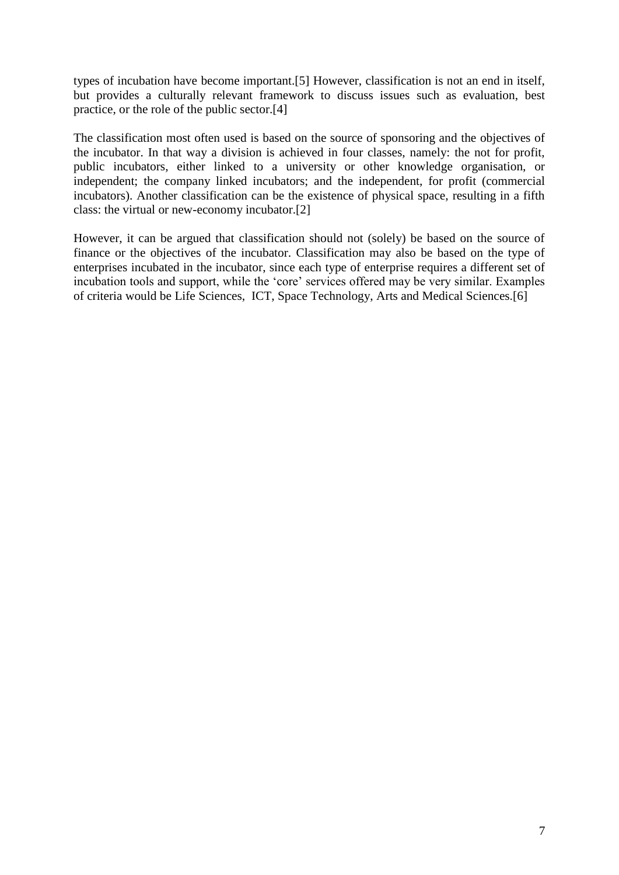types of incubation have become important.[5] However, classification is not an end in itself, but provides a culturally relevant framework to discuss issues such as evaluation, best practice, or the role of the public sector.[4]

The classification most often used is based on the source of sponsoring and the objectives of the incubator. In that way a division is achieved in four classes, namely: the not for profit, public incubators, either linked to a university or other knowledge organisation, or independent; the company linked incubators; and the independent, for profit (commercial incubators). Another classification can be the existence of physical space, resulting in a fifth class: the virtual or new-economy incubator.[2]

However, it can be argued that classification should not (solely) be based on the source of finance or the objectives of the incubator. Classification may also be based on the type of enterprises incubated in the incubator, since each type of enterprise requires a different set of incubation tools and support, while the 'core' services offered may be very similar. Examples of criteria would be Life Sciences, ICT, Space Technology, Arts and Medical Sciences.[6]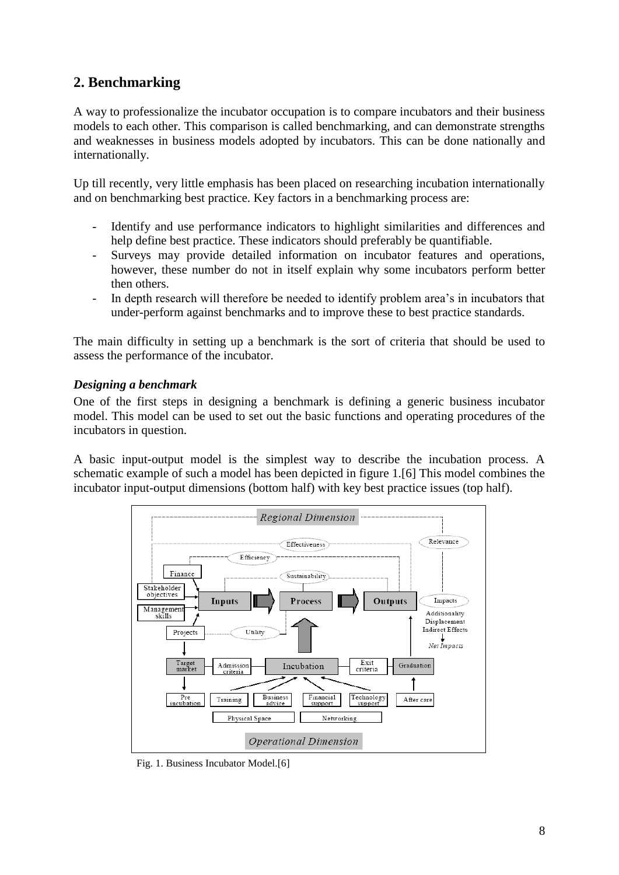## <span id="page-7-0"></span>**2. Benchmarking**

A way to professionalize the incubator occupation is to compare incubators and their business models to each other. This comparison is called benchmarking, and can demonstrate strengths and weaknesses in business models adopted by incubators. This can be done nationally and internationally.

Up till recently, very little emphasis has been placed on researching incubation internationally and on benchmarking best practice. Key factors in a benchmarking process are:

- Identify and use performance indicators to highlight similarities and differences and help define best practice. These indicators should preferably be quantifiable.
- Surveys may provide detailed information on incubator features and operations, however, these number do not in itself explain why some incubators perform better then others.
- In depth research will therefore be needed to identify problem area's in incubators that under-perform against benchmarks and to improve these to best practice standards.

The main difficulty in setting up a benchmark is the sort of criteria that should be used to assess the performance of the incubator.

#### <span id="page-7-1"></span>*Designing a benchmark*

One of the first steps in designing a benchmark is defining a generic business incubator model. This model can be used to set out the basic functions and operating procedures of the incubators in question.

A basic input-output model is the simplest way to describe the incubation process. A schematic example of such a model has been depicted in figure 1.[6] This model combines the incubator input-output dimensions (bottom half) with key best practice issues (top half).



Fig. 1. Business Incubator Model.[6]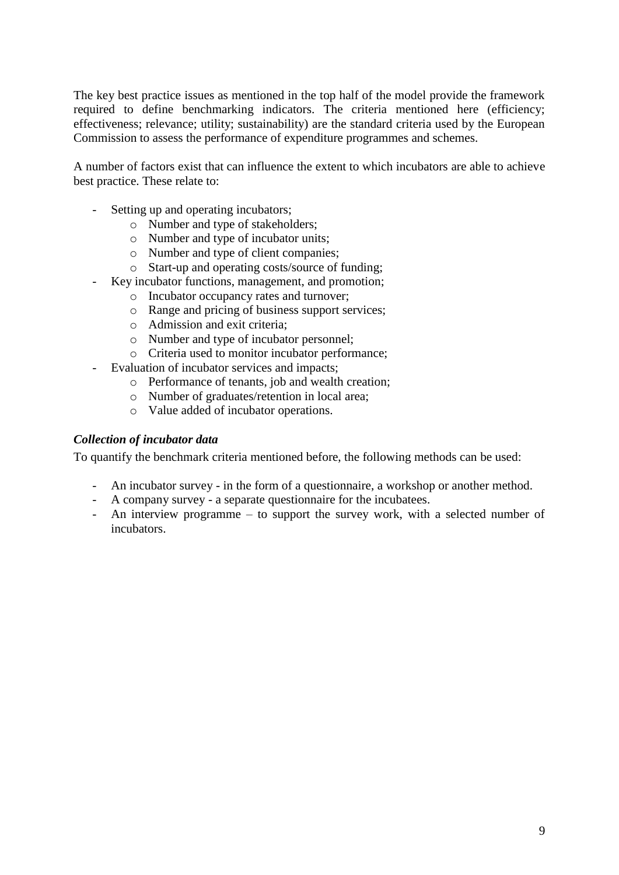The key best practice issues as mentioned in the top half of the model provide the framework required to define benchmarking indicators. The criteria mentioned here (efficiency; effectiveness; relevance; utility; sustainability) are the standard criteria used by the European Commission to assess the performance of expenditure programmes and schemes.

A number of factors exist that can influence the extent to which incubators are able to achieve best practice. These relate to:

- Setting up and operating incubators;
	- o Number and type of stakeholders;
	- o Number and type of incubator units;
	- o Number and type of client companies;
	- o Start-up and operating costs/source of funding;
- Key incubator functions, management, and promotion;
	- o Incubator occupancy rates and turnover;
	- o Range and pricing of business support services;
	- o Admission and exit criteria;
	- o Number and type of incubator personnel;
	- o Criteria used to monitor incubator performance;
- Evaluation of incubator services and impacts;
	- o Performance of tenants, job and wealth creation;
	- o Number of graduates/retention in local area;
		- o Value added of incubator operations.

#### <span id="page-8-0"></span>*Collection of incubator data*

To quantify the benchmark criteria mentioned before, the following methods can be used:

- An incubator survey in the form of a questionnaire, a workshop or another method.
- A company survey a separate questionnaire for the incubatees.
- An interview programme to support the survey work, with a selected number of incubators.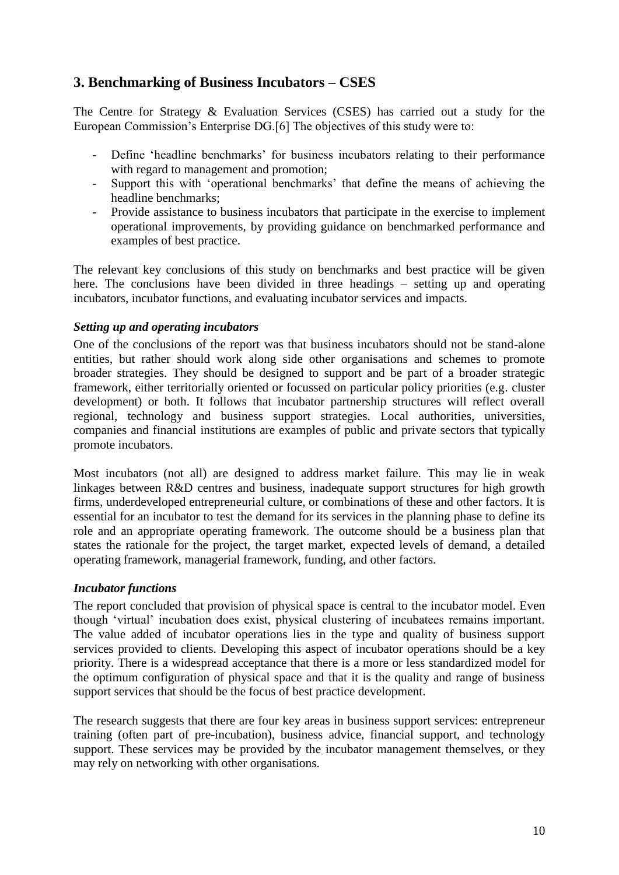## <span id="page-9-0"></span>**3. Benchmarking of Business Incubators – CSES**

The Centre for Strategy & Evaluation Services (CSES) has carried out a study for the European Commission's Enterprise DG.[6] The objectives of this study were to:

- Define 'headline benchmarks' for business incubators relating to their performance with regard to management and promotion:
- Support this with 'operational benchmarks' that define the means of achieving the headline benchmarks;
- Provide assistance to business incubators that participate in the exercise to implement operational improvements, by providing guidance on benchmarked performance and examples of best practice.

The relevant key conclusions of this study on benchmarks and best practice will be given here. The conclusions have been divided in three headings – setting up and operating incubators, incubator functions, and evaluating incubator services and impacts.

#### <span id="page-9-1"></span>*Setting up and operating incubators*

One of the conclusions of the report was that business incubators should not be stand-alone entities, but rather should work along side other organisations and schemes to promote broader strategies. They should be designed to support and be part of a broader strategic framework, either territorially oriented or focussed on particular policy priorities (e.g. cluster development) or both. It follows that incubator partnership structures will reflect overall regional, technology and business support strategies. Local authorities, universities, companies and financial institutions are examples of public and private sectors that typically promote incubators.

Most incubators (not all) are designed to address market failure. This may lie in weak linkages between R&D centres and business, inadequate support structures for high growth firms, underdeveloped entrepreneurial culture, or combinations of these and other factors. It is essential for an incubator to test the demand for its services in the planning phase to define its role and an appropriate operating framework. The outcome should be a business plan that states the rationale for the project, the target market, expected levels of demand, a detailed operating framework, managerial framework, funding, and other factors.

#### <span id="page-9-2"></span>*Incubator functions*

The report concluded that provision of physical space is central to the incubator model. Even though 'virtual' incubation does exist, physical clustering of incubatees remains important. The value added of incubator operations lies in the type and quality of business support services provided to clients. Developing this aspect of incubator operations should be a key priority. There is a widespread acceptance that there is a more or less standardized model for the optimum configuration of physical space and that it is the quality and range of business support services that should be the focus of best practice development.

The research suggests that there are four key areas in business support services: entrepreneur training (often part of pre-incubation), business advice, financial support, and technology support. These services may be provided by the incubator management themselves, or they may rely on networking with other organisations.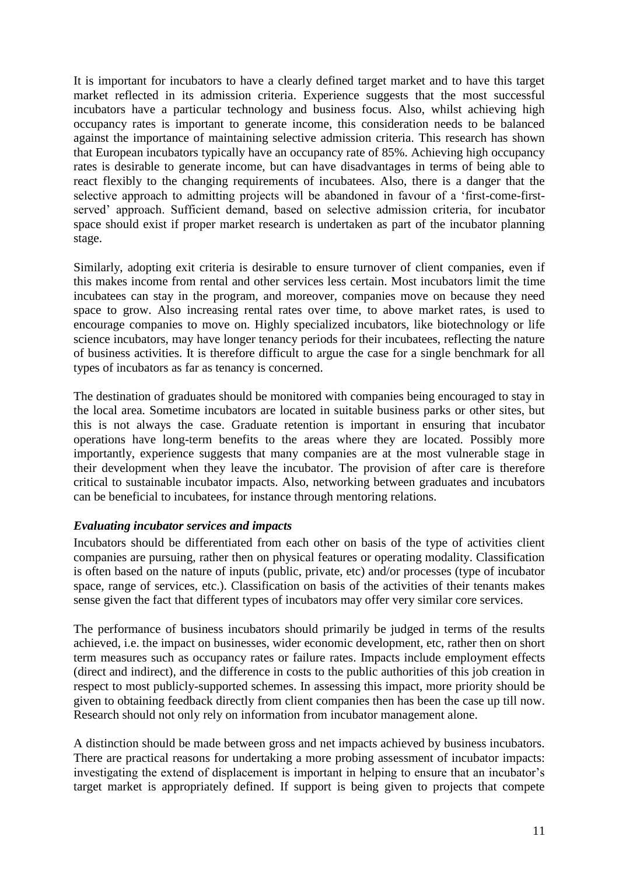It is important for incubators to have a clearly defined target market and to have this target market reflected in its admission criteria. Experience suggests that the most successful incubators have a particular technology and business focus. Also, whilst achieving high occupancy rates is important to generate income, this consideration needs to be balanced against the importance of maintaining selective admission criteria. This research has shown that European incubators typically have an occupancy rate of 85%. Achieving high occupancy rates is desirable to generate income, but can have disadvantages in terms of being able to react flexibly to the changing requirements of incubatees. Also, there is a danger that the selective approach to admitting projects will be abandoned in favour of a 'first-come-firstserved' approach. Sufficient demand, based on selective admission criteria, for incubator space should exist if proper market research is undertaken as part of the incubator planning stage.

Similarly, adopting exit criteria is desirable to ensure turnover of client companies, even if this makes income from rental and other services less certain. Most incubators limit the time incubatees can stay in the program, and moreover, companies move on because they need space to grow. Also increasing rental rates over time, to above market rates, is used to encourage companies to move on. Highly specialized incubators, like biotechnology or life science incubators, may have longer tenancy periods for their incubatees, reflecting the nature of business activities. It is therefore difficult to argue the case for a single benchmark for all types of incubators as far as tenancy is concerned.

The destination of graduates should be monitored with companies being encouraged to stay in the local area. Sometime incubators are located in suitable business parks or other sites, but this is not always the case. Graduate retention is important in ensuring that incubator operations have long-term benefits to the areas where they are located. Possibly more importantly, experience suggests that many companies are at the most vulnerable stage in their development when they leave the incubator. The provision of after care is therefore critical to sustainable incubator impacts. Also, networking between graduates and incubators can be beneficial to incubatees, for instance through mentoring relations.

#### <span id="page-10-0"></span>*Evaluating incubator services and impacts*

Incubators should be differentiated from each other on basis of the type of activities client companies are pursuing, rather then on physical features or operating modality. Classification is often based on the nature of inputs (public, private, etc) and/or processes (type of incubator space, range of services, etc.). Classification on basis of the activities of their tenants makes sense given the fact that different types of incubators may offer very similar core services.

The performance of business incubators should primarily be judged in terms of the results achieved, i.e. the impact on businesses, wider economic development, etc, rather then on short term measures such as occupancy rates or failure rates. Impacts include employment effects (direct and indirect), and the difference in costs to the public authorities of this job creation in respect to most publicly-supported schemes. In assessing this impact, more priority should be given to obtaining feedback directly from client companies then has been the case up till now. Research should not only rely on information from incubator management alone.

A distinction should be made between gross and net impacts achieved by business incubators. There are practical reasons for undertaking a more probing assessment of incubator impacts: investigating the extend of displacement is important in helping to ensure that an incubator's target market is appropriately defined. If support is being given to projects that compete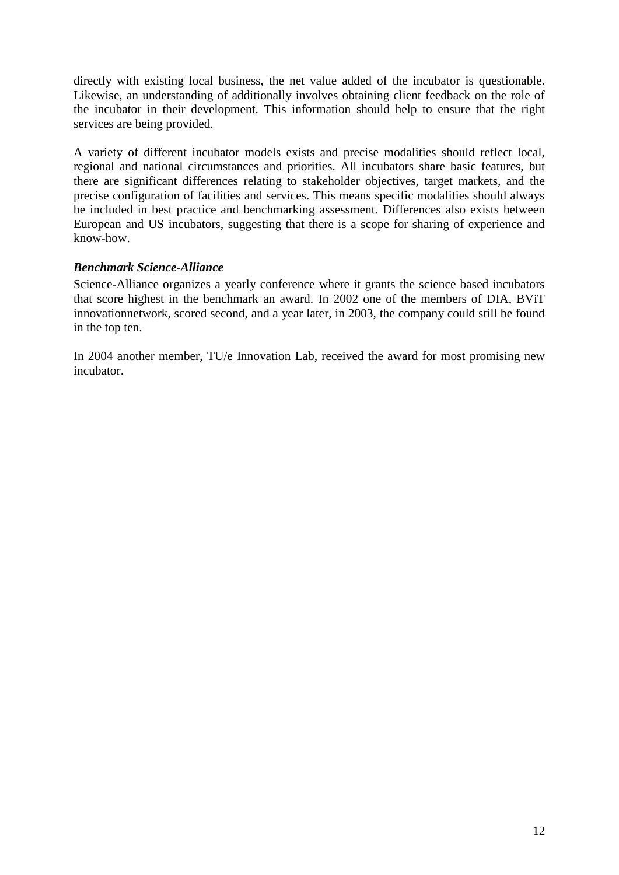directly with existing local business, the net value added of the incubator is questionable. Likewise, an understanding of additionally involves obtaining client feedback on the role of the incubator in their development. This information should help to ensure that the right services are being provided.

A variety of different incubator models exists and precise modalities should reflect local, regional and national circumstances and priorities. All incubators share basic features, but there are significant differences relating to stakeholder objectives, target markets, and the precise configuration of facilities and services. This means specific modalities should always be included in best practice and benchmarking assessment. Differences also exists between European and US incubators, suggesting that there is a scope for sharing of experience and know-how.

#### <span id="page-11-0"></span>*Benchmark Science-Alliance*

Science-Alliance organizes a yearly conference where it grants the science based incubators that score highest in the benchmark an award. In 2002 one of the members of DIA, BViT innovationnetwork, scored second, and a year later, in 2003, the company could still be found in the top ten.

In 2004 another member, TU/e Innovation Lab, received the award for most promising new incubator.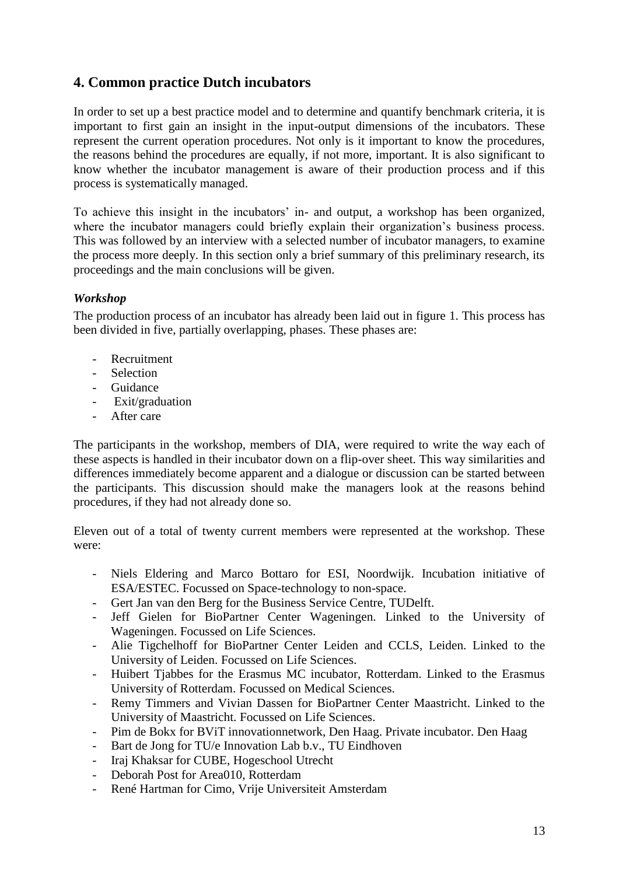## <span id="page-12-0"></span>**4. Common practice Dutch incubators**

In order to set up a best practice model and to determine and quantify benchmark criteria, it is important to first gain an insight in the input-output dimensions of the incubators. These represent the current operation procedures. Not only is it important to know the procedures, the reasons behind the procedures are equally, if not more, important. It is also significant to know whether the incubator management is aware of their production process and if this process is systematically managed.

To achieve this insight in the incubators' in- and output, a workshop has been organized, where the incubator managers could briefly explain their organization's business process. This was followed by an interview with a selected number of incubator managers, to examine the process more deeply. In this section only a brief summary of this preliminary research, its proceedings and the main conclusions will be given.

#### <span id="page-12-1"></span>*Workshop*

The production process of an incubator has already been laid out in figure 1. This process has been divided in five, partially overlapping, phases. These phases are:

- Recruitment
- Selection
- Guidance
- Exit/graduation
- After care

The participants in the workshop, members of DIA, were required to write the way each of these aspects is handled in their incubator down on a flip-over sheet. This way similarities and differences immediately become apparent and a dialogue or discussion can be started between the participants. This discussion should make the managers look at the reasons behind procedures, if they had not already done so.

Eleven out of a total of twenty current members were represented at the workshop. These were:

- Niels Eldering and Marco Bottaro for ESI, Noordwijk. Incubation initiative of ESA/ESTEC. Focussed on Space-technology to non-space.
- Gert Jan van den Berg for the Business Service Centre, TUDelft.
- Jeff Gielen for BioPartner Center Wageningen. Linked to the University of Wageningen. Focussed on Life Sciences.
- Alie Tigchelhoff for BioPartner Center Leiden and CCLS, Leiden. Linked to the University of Leiden. Focussed on Life Sciences.
- Huibert Tjabbes for the Erasmus MC incubator, Rotterdam. Linked to the Erasmus University of Rotterdam. Focussed on Medical Sciences.
- Remy Timmers and Vivian Dassen for BioPartner Center Maastricht. Linked to the University of Maastricht. Focussed on Life Sciences.
- Pim de Bokx for BViT innovationnetwork, Den Haag. Private incubator. Den Haag
- Bart de Jong for TU/e Innovation Lab b.v., TU Eindhoven
- Iraj Khaksar for CUBE, Hogeschool Utrecht
- Deborah Post for Area010, Rotterdam
- René Hartman for Cimo, Vrije Universiteit Amsterdam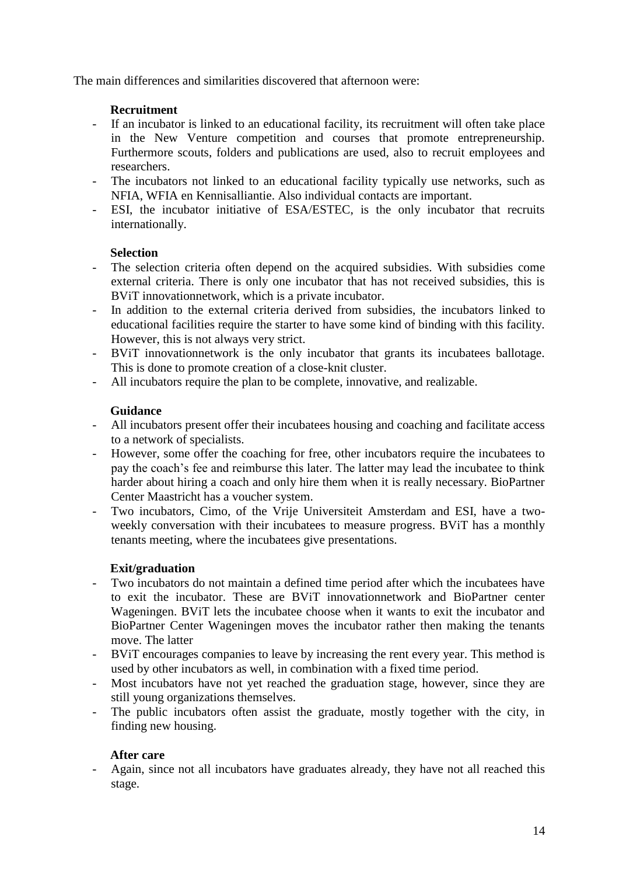The main differences and similarities discovered that afternoon were:

#### **Recruitment**

- If an incubator is linked to an educational facility, its recruitment will often take place in the New Venture competition and courses that promote entrepreneurship. Furthermore scouts, folders and publications are used, also to recruit employees and researchers.
- The incubators not linked to an educational facility typically use networks, such as NFIA, WFIA en Kennisalliantie. Also individual contacts are important.
- ESI, the incubator initiative of ESA/ESTEC, is the only incubator that recruits internationally.

#### **Selection**

- The selection criteria often depend on the acquired subsidies. With subsidies come external criteria. There is only one incubator that has not received subsidies, this is BViT innovationnetwork, which is a private incubator.
- In addition to the external criteria derived from subsidies, the incubators linked to educational facilities require the starter to have some kind of binding with this facility. However, this is not always very strict.
- BViT innovationnetwork is the only incubator that grants its incubatees ballotage. This is done to promote creation of a close-knit cluster.
- All incubators require the plan to be complete, innovative, and realizable.

#### **Guidance**

- All incubators present offer their incubatees housing and coaching and facilitate access to a network of specialists.
- However, some offer the coaching for free, other incubators require the incubatees to pay the coach's fee and reimburse this later. The latter may lead the incubatee to think harder about hiring a coach and only hire them when it is really necessary. BioPartner Center Maastricht has a voucher system.
- Two incubators, Cimo, of the Vrije Universiteit Amsterdam and ESI, have a twoweekly conversation with their incubatees to measure progress. BViT has a monthly tenants meeting, where the incubatees give presentations.

#### **Exit/graduation**

- Two incubators do not maintain a defined time period after which the incubatees have to exit the incubator. These are BViT innovationnetwork and BioPartner center Wageningen. BViT lets the incubatee choose when it wants to exit the incubator and BioPartner Center Wageningen moves the incubator rather then making the tenants move. The latter
- BViT encourages companies to leave by increasing the rent every year. This method is used by other incubators as well, in combination with a fixed time period.
- Most incubators have not yet reached the graduation stage, however, since they are still young organizations themselves.
- The public incubators often assist the graduate, mostly together with the city, in finding new housing.

#### **After care**

- Again, since not all incubators have graduates already, they have not all reached this stage.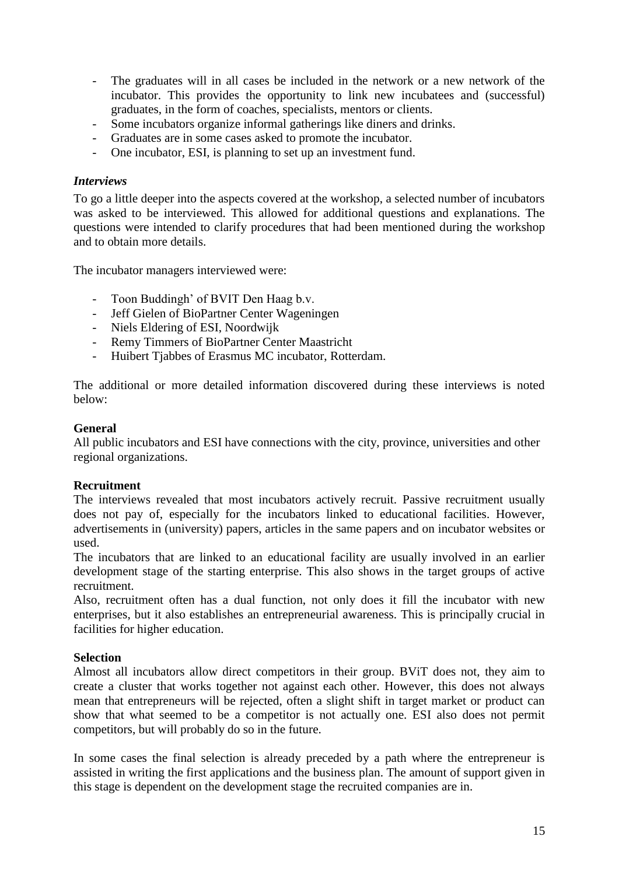- The graduates will in all cases be included in the network or a new network of the incubator. This provides the opportunity to link new incubatees and (successful) graduates, in the form of coaches, specialists, mentors or clients.
- Some incubators organize informal gatherings like diners and drinks.
- Graduates are in some cases asked to promote the incubator.
- One incubator, ESI, is planning to set up an investment fund.

#### <span id="page-14-0"></span>*Interviews*

To go a little deeper into the aspects covered at the workshop, a selected number of incubators was asked to be interviewed. This allowed for additional questions and explanations. The questions were intended to clarify procedures that had been mentioned during the workshop and to obtain more details.

The incubator managers interviewed were:

- Toon Buddingh' of BVIT Den Haag b.v.
- Jeff Gielen of BioPartner Center Wageningen
- Niels Eldering of ESI, Noordwijk
- Remy Timmers of BioPartner Center Maastricht
- Huibert Tjabbes of Erasmus MC incubator, Rotterdam.

The additional or more detailed information discovered during these interviews is noted below:

#### **General**

All public incubators and ESI have connections with the city, province, universities and other regional organizations.

#### **Recruitment**

The interviews revealed that most incubators actively recruit. Passive recruitment usually does not pay of, especially for the incubators linked to educational facilities. However, advertisements in (university) papers, articles in the same papers and on incubator websites or used.

The incubators that are linked to an educational facility are usually involved in an earlier development stage of the starting enterprise. This also shows in the target groups of active recruitment.

Also, recruitment often has a dual function, not only does it fill the incubator with new enterprises, but it also establishes an entrepreneurial awareness. This is principally crucial in facilities for higher education.

#### **Selection**

Almost all incubators allow direct competitors in their group. BViT does not, they aim to create a cluster that works together not against each other. However, this does not always mean that entrepreneurs will be rejected, often a slight shift in target market or product can show that what seemed to be a competitor is not actually one. ESI also does not permit competitors, but will probably do so in the future.

In some cases the final selection is already preceded by a path where the entrepreneur is assisted in writing the first applications and the business plan. The amount of support given in this stage is dependent on the development stage the recruited companies are in.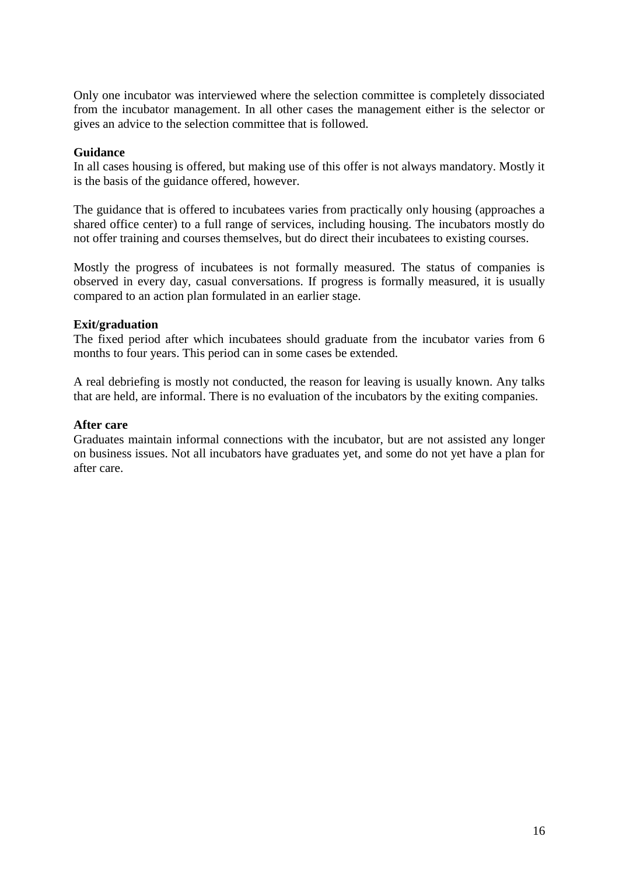Only one incubator was interviewed where the selection committee is completely dissociated from the incubator management. In all other cases the management either is the selector or gives an advice to the selection committee that is followed.

#### **Guidance**

In all cases housing is offered, but making use of this offer is not always mandatory. Mostly it is the basis of the guidance offered, however.

The guidance that is offered to incubatees varies from practically only housing (approaches a shared office center) to a full range of services, including housing. The incubators mostly do not offer training and courses themselves, but do direct their incubatees to existing courses.

Mostly the progress of incubatees is not formally measured. The status of companies is observed in every day, casual conversations. If progress is formally measured, it is usually compared to an action plan formulated in an earlier stage.

#### **Exit/graduation**

The fixed period after which incubatees should graduate from the incubator varies from 6 months to four years. This period can in some cases be extended.

A real debriefing is mostly not conducted, the reason for leaving is usually known. Any talks that are held, are informal. There is no evaluation of the incubators by the exiting companies.

#### **After care**

Graduates maintain informal connections with the incubator, but are not assisted any longer on business issues. Not all incubators have graduates yet, and some do not yet have a plan for after care.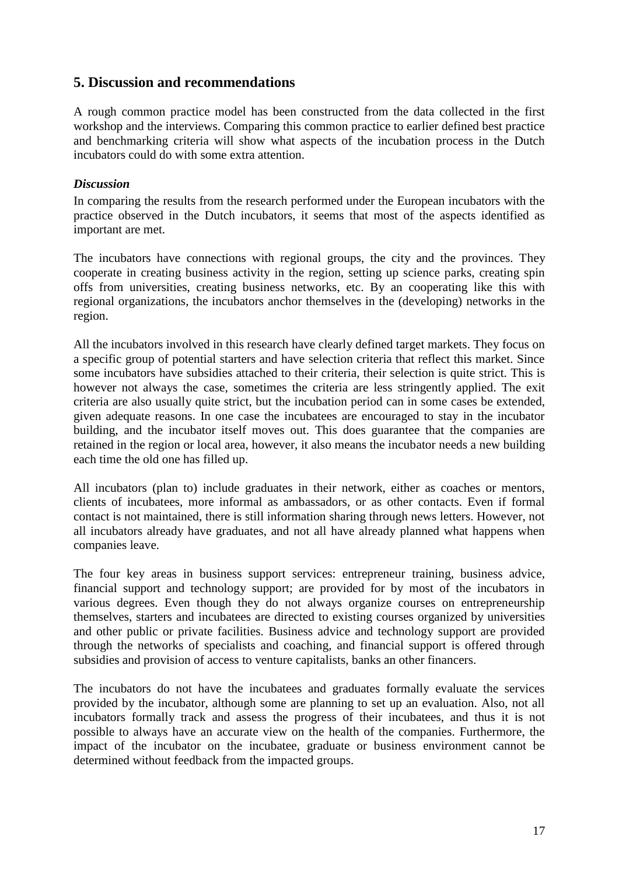#### <span id="page-16-0"></span>**5. Discussion and recommendations**

A rough common practice model has been constructed from the data collected in the first workshop and the interviews. Comparing this common practice to earlier defined best practice and benchmarking criteria will show what aspects of the incubation process in the Dutch incubators could do with some extra attention.

#### <span id="page-16-1"></span>*Discussion*

In comparing the results from the research performed under the European incubators with the practice observed in the Dutch incubators, it seems that most of the aspects identified as important are met.

The incubators have connections with regional groups, the city and the provinces. They cooperate in creating business activity in the region, setting up science parks, creating spin offs from universities, creating business networks, etc. By an cooperating like this with regional organizations, the incubators anchor themselves in the (developing) networks in the region.

All the incubators involved in this research have clearly defined target markets. They focus on a specific group of potential starters and have selection criteria that reflect this market. Since some incubators have subsidies attached to their criteria, their selection is quite strict. This is however not always the case, sometimes the criteria are less stringently applied. The exit criteria are also usually quite strict, but the incubation period can in some cases be extended, given adequate reasons. In one case the incubatees are encouraged to stay in the incubator building, and the incubator itself moves out. This does guarantee that the companies are retained in the region or local area, however, it also means the incubator needs a new building each time the old one has filled up.

All incubators (plan to) include graduates in their network, either as coaches or mentors, clients of incubatees, more informal as ambassadors, or as other contacts. Even if formal contact is not maintained, there is still information sharing through news letters. However, not all incubators already have graduates, and not all have already planned what happens when companies leave.

The four key areas in business support services: entrepreneur training, business advice, financial support and technology support; are provided for by most of the incubators in various degrees. Even though they do not always organize courses on entrepreneurship themselves, starters and incubatees are directed to existing courses organized by universities and other public or private facilities. Business advice and technology support are provided through the networks of specialists and coaching, and financial support is offered through subsidies and provision of access to venture capitalists, banks an other financers.

The incubators do not have the incubatees and graduates formally evaluate the services provided by the incubator, although some are planning to set up an evaluation. Also, not all incubators formally track and assess the progress of their incubatees, and thus it is not possible to always have an accurate view on the health of the companies. Furthermore, the impact of the incubator on the incubatee, graduate or business environment cannot be determined without feedback from the impacted groups.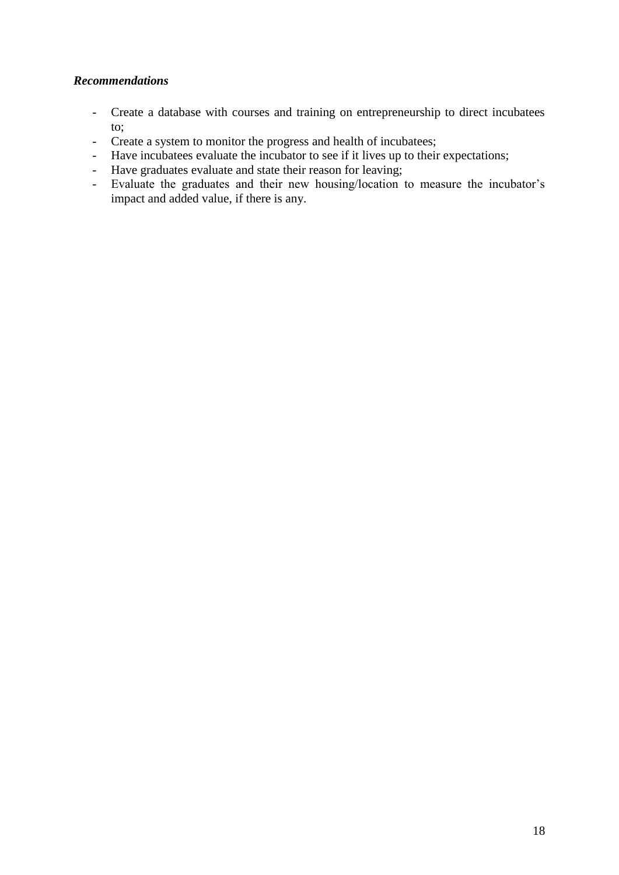#### <span id="page-17-0"></span>*Recommendations*

- Create a database with courses and training on entrepreneurship to direct incubatees to;
- Create a system to monitor the progress and health of incubatees;
- Have incubatees evaluate the incubator to see if it lives up to their expectations;
- Have graduates evaluate and state their reason for leaving;
- Evaluate the graduates and their new housing/location to measure the incubator's impact and added value, if there is any.